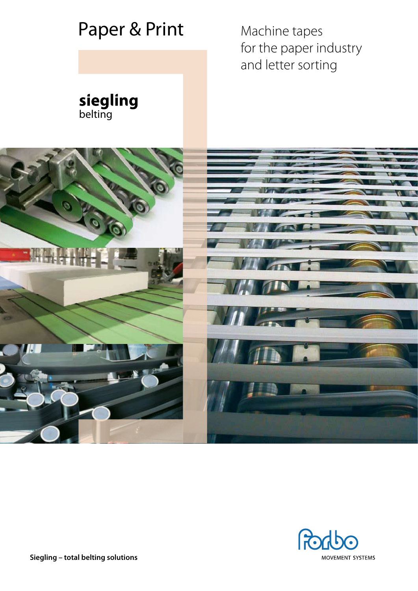



**Siegling – total belting solutions**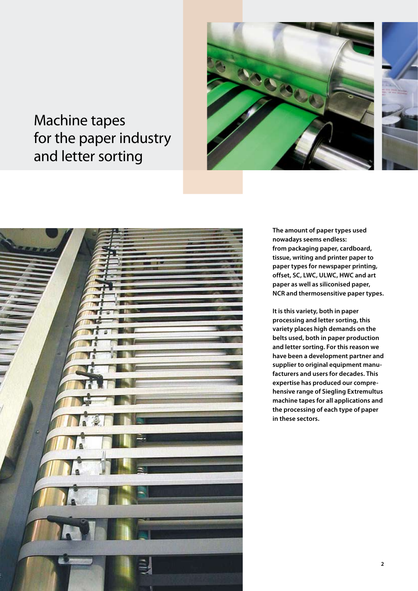# Machine tapes for the paper industry and letter sorting





**The amount of paper types used nowadays seems endless: from packaging paper, cardboard, tissue, writing and printer paper to paper types for newspaper printing, offset, SC, LWC, ULWC, HWC and art paper as well as siliconised paper, NCR and thermosensitive paper types.**

**It is this variety, both in paper processing and letter sorting, this variety places high demands on the belts used, both in paper production and letter sorting. For this reason we have been a development partner and supplier to original equipment manufacturers and users for decades. This expertise has produced our comprehensive range of Siegling Extremultus machine tapes for all applications and the processing of each type of paper in these sectors.**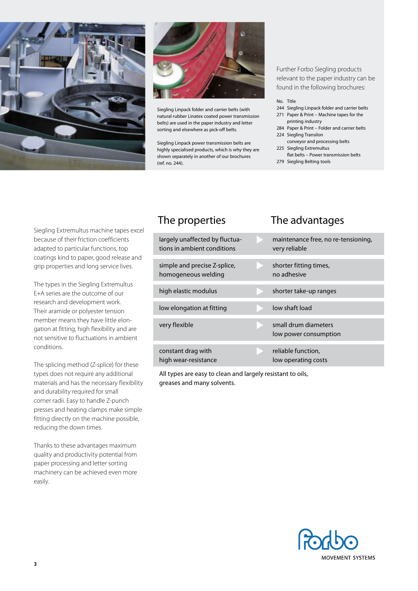



Siegling Linpack folder and carrier belts (with natural rubber Linatex coated power transmission belts) are used in the paper industry and letter sorting and elsewhere as pick-off belts.

Siegling Linpack power transmission belts are highly specialised products, which is why they are shown separately in another of our brochures (ref. no. 244).

Further Forbo Siegling products relevant to the paper industry can be found in the following brochures:

#### No. Title

- 244 Siegling Linpack folder and carrier belts 271 Paper & Print – Machine tapes for the
- printing industry 284 Paper & Print – Folder and carrier belts 224 Siegling Transilon
- conveyor and processing belts 225 Siegling Extremultus
- flat belts Power transmission belts 279 Siegling Belting tools
- 

Siegling Extremultus machine tapes excel because of their friction coefficients adapted to particular functions, top coatings kind to paper, good release and grip properties and long service lives.

The types in the Siegling Extremultus E+A series are the outcome of our research and development work. Their aramide or polyester tension member means they have little elongation at fitting, high flexibility and are not sensitive to fluctuations in ambient conditions.

The splicing method (Z-splice) for these types does not require any additional materials and has the necessary flexibility and durability required for small corner radii. Easy to handle Z-punch presses and heating clamps make simple fitting directly on the machine possible, reducing the down times.

Thanks to these advantages maximum quality and productivity potential from paper processing and letter sorting machinery can be achieved even more easily.

# The properties The advantages

| largely unaffected by fluctua-<br>tions in ambient conditions | maintenance free, no re-tensioning,<br>very reliable |
|---------------------------------------------------------------|------------------------------------------------------|
| simple and precise Z-splice,<br>homogeneous welding           | shorter fitting times,<br>no adhesive                |
| high elastic modulus                                          | shorter take-up ranges                               |
| low elongation at fitting                                     | low shaft load                                       |
| very flexible                                                 | small drum diameters<br>low power consumption        |
| constant drag with<br>high wear-resistance                    | reliable function,<br>low operating costs            |

All types are easy to clean and largely resistant to oils, greases and many solvents.

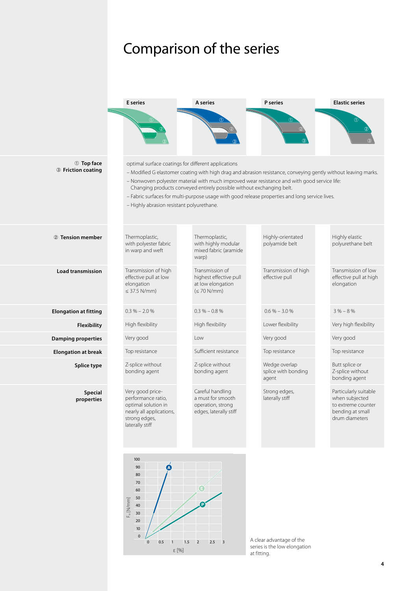# Comparison of the series





A clear advantage of the series is the low elongation at fitting.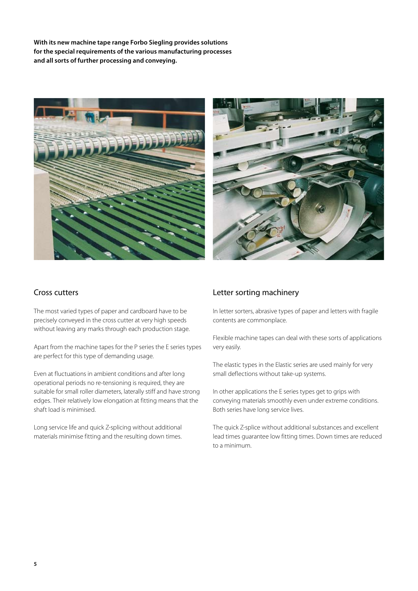**With its new machine tape range Forbo Siegling provides solutions for the special requirements of the various manufacturing processes and all sorts of further processing and conveying.**





#### Cross cutters

The most varied types of paper and cardboard have to be precisely conveyed in the cross cutter at very high speeds without leaving any marks through each production stage.

Apart from the machine tapes for the P series the E series types are perfect for this type of demanding usage.

Even at fluctuations in ambient conditions and after long operational periods no re-tensioning is required, they are suitable for small roller diameters, laterally stiff and have strong edges. Their relatively low elongation at fitting means that the shaft load is minimised.

Long service life and quick Z-splicing without additional materials minimise fitting and the resulting down times.

### Letter sorting machinery

In letter sorters, abrasive types of paper and letters with fragile contents are commonplace.

Flexible machine tapes can deal with these sorts of applications very easily.

The elastic types in the Elastic series are used mainly for very small deflections without take-up systems.

In other applications the E series types get to grips with conveying materials smoothly even under extreme conditions. Both series have long service lives.

The quick Z-splice without additional substances and excellent lead times guarantee low fitting times. Down times are reduced to a minimum.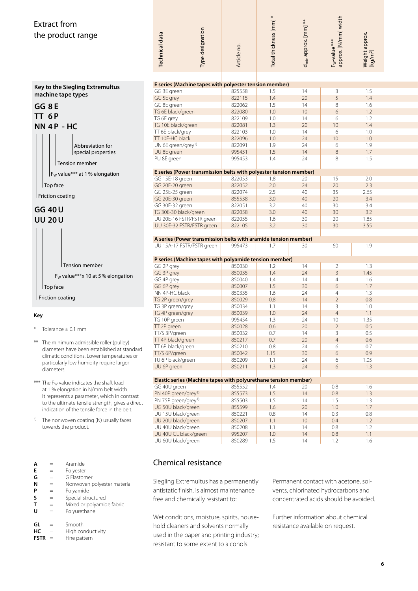## Extract from the product range



- \* Tolerance ± 0.1 mm
- \*\* The minimum admissible roller (pulley) diameters have been established at standard climatic conditions. Lower temperatures or particularly low humidity require larger diameters.
- \*\*\* The  $F_W$  value indicates the shaft load at 1 % elongation in N/mm belt width. It represents a parameter, which in contrast to the ultimate tensile strength, gives a direct indication of the tensile force in the belt.
- <sup>1)</sup> The nonwoven coating (N) usually faces towards the product.

| Α | Aramide |
|---|---------|
|   |         |

- **E** = Polyester
- **G** = G Elastomer
- $N =$  Nonwoven polyester material<br>  $P =$  Polyamide
- **P** = Polyamide
- **S** = Special structured<br> **T** = Mixed or polyamid
- $=$  Mixed or polyamide fabric
- **U** = Polyurethane
- **GL** = Smooth
- **HC** = High conductivity
- **FSTR** = Fine pattern

| Type designation<br><b>Technical data</b>                         | Article no.      | Total thickness [mm] * | d <sub>min</sub> approx. [mm] ** | F <sub>w</sub> -value ***<br>approx. [N/mm] width | Weight approx.<br>[kg/m <sup>2</sup> ] |  |
|-------------------------------------------------------------------|------------------|------------------------|----------------------------------|---------------------------------------------------|----------------------------------------|--|
|                                                                   |                  |                        |                                  |                                                   |                                        |  |
|                                                                   |                  |                        |                                  |                                                   |                                        |  |
| E series (Machine tapes with polyester tension member)            |                  |                        |                                  |                                                   |                                        |  |
| GG 3E green                                                       | 825558           | 1.5                    | 14                               | 3                                                 | 1.5                                    |  |
| GG 5E grey                                                        | 822115           | 1.4                    | 20                               | 5                                                 | 1.4                                    |  |
| GG 8E green                                                       | 822062           | 1.5                    | 14                               | 8                                                 | 1.6                                    |  |
| TG 6E black/green                                                 | 822080           | $1.0$                  | 10                               | 6                                                 | 1.2                                    |  |
| TG 6E grey                                                        | 822109           | 1.0                    | 14                               | 6                                                 | 1.2                                    |  |
| TG 10E black/green                                                | 822081           | 1.3                    | 20                               | 10                                                | 1.4                                    |  |
| TT 6E black/grey                                                  | 822103           | 1.0                    | 14                               | 6                                                 | 1.0                                    |  |
| TT 10E-HC black                                                   | 822096           | 1.0                    | 24                               | 10                                                | 1.0                                    |  |
| UN 6E green/grey <sup>1)</sup>                                    | 822091           | 1.9                    | 24                               | 6                                                 | 1.9                                    |  |
| UU 8E green                                                       | 995451           | 1.5                    | 14                               | $\,8\,$                                           | 1.7                                    |  |
| PU 8E green                                                       | 995453           | 1.4                    | 24                               | 8                                                 | 1.5                                    |  |
|                                                                   |                  |                        |                                  |                                                   |                                        |  |
| E series (Power transmission belts with polyester tension member) |                  |                        |                                  |                                                   |                                        |  |
| GG 15E-18 green                                                   | 822053           | 1.8                    | 20                               | 15                                                | 2.0                                    |  |
| GG 20E-20 green                                                   | 822052           | 2.0                    | 24                               | $20\,$                                            | 2.3                                    |  |
| GG 25E-25 green                                                   | 822074           | 2.5                    | 40                               | 35                                                | 2.65                                   |  |
| GG 20E-30 green                                                   | 855538           | 3.0                    | 40                               | 20                                                | 3.4                                    |  |
| GG 30E-32 green                                                   | 822051           | 3.2<br>3.0             | 40                               | 30<br>30                                          | 3.4<br>3.2                             |  |
| TG 30E-30 black/green                                             | 822058           |                        | 40<br>30                         | 20                                                | 1.85                                   |  |
| UU 20E-16 FSTR/FSTR green<br>UU 30E-32 FSTR/FSTR green            | 822055<br>822105 | 1.6<br>3.2             | 30                               | 30                                                | 3.55                                   |  |
|                                                                   |                  |                        |                                  |                                                   |                                        |  |
| A series (Power transmission belts with aramide tension member)   |                  |                        |                                  |                                                   |                                        |  |
| UU 15A-17 FSTR/FSTR green                                         | 995473           | 1.7                    | 30                               | 60                                                | 1.9                                    |  |
|                                                                   |                  |                        |                                  |                                                   |                                        |  |
| P series (Machine tapes with polyamide tension member)            |                  |                        |                                  |                                                   |                                        |  |
| GG 2P grey                                                        | 850030           | 1.2                    | 14                               | $\overline{2}$                                    | 1.3                                    |  |
| GG 3P grey                                                        | 850035           | 1.4                    | 24                               | $\overline{3}$                                    | 1.45                                   |  |
| GG 4P grey                                                        | 850040           | 1.4                    | 14                               | $\overline{4}$                                    | 1.6                                    |  |
| GG 6P grey                                                        | 850007           | 1.5                    | 30                               | 6                                                 | 1.7                                    |  |
| NN 4P-HC black                                                    | 850335           | 1.6                    | 24                               | 4                                                 | 1.3                                    |  |
| TG 2P green/grey                                                  | 850029           | 0.8                    | 14                               | $\overline{2}$                                    | 0.8                                    |  |
| TG 3P green/grey                                                  | 850034           | 1.1                    | 14                               | 3                                                 | 1.0                                    |  |
| TG 4P green/grey                                                  | 850039           | 1.0                    | 24                               | $\overline{4}$                                    | 1.1                                    |  |
| TG 10P green                                                      | 995454           | 1.3                    | 24                               | 10                                                | 1.35                                   |  |
| TT 2P green                                                       | 850028           | $0.6\,$                | $20\,$                           | $\overline{2}$                                    | 0.5                                    |  |
| TT/S 3P/green                                                     | 850032           | 0.7                    | 14                               | $\mathbf{3}$                                      | 0.5                                    |  |
| TT 4P black/green                                                 | 850217           | 0.7                    | 20                               | $\overline{4}$                                    | 0.6                                    |  |
| TT 6P black/green                                                 | 850210           | $0.8\,$                | 24                               | 6                                                 | 0.7                                    |  |
| TT/S 6P/green                                                     | 850042           | 1.15                   | $30\,$                           | 6                                                 | 0.9                                    |  |
| TU 6P black/green                                                 | 850209           | 1.1                    | 24                               | 6                                                 | 1.05                                   |  |
| UU 6P green                                                       | 850211           | 1.3                    | 24                               | 6                                                 | 1.3                                    |  |
| Elastic series (Machine tapes with polyurethane tension member)   |                  |                        |                                  |                                                   |                                        |  |
| GG 40U green                                                      | 855552           | 1.4                    | 20                               | 0.8                                               | 1.6                                    |  |
| PN 40P green/grey <sup>1)</sup>                                   | 855573           | $1.5\,$                | 14                               | $0.8\,$                                           | 1.3                                    |  |
| PN 75P green/grey <sup>1)</sup>                                   | 855503           | 1.5                    | 14                               | 1.5                                               | 1.3                                    |  |
| UG 50U black/green                                                | 855599           | 1.6                    | 20                               | $1.0\,$                                           | 1.7                                    |  |
| UU 15U black/green                                                | 850221           | $0.8\,$                | 14                               | 0.3                                               | $0.8\,$                                |  |
| UU 20U black/green                                                | 850207           | 1.1                    | $10\,$                           | 0.4                                               | 1.2                                    |  |
| UU 40U black/green                                                | 850208           | 1.1                    | 14                               | $0.8\,$                                           | 1.2                                    |  |
| UU 40U GL black/green                                             | 995207           | $1.0$                  | $14$                             | $0.8\,$                                           | 1.1                                    |  |
| UU 60U black/green                                                | 850289           | 1.5                    | 14                               | 1.2                                               | 1.6                                    |  |
|                                                                   |                  |                        |                                  |                                                   |                                        |  |

#### Chemical resistance

Siegling Extremultus has a permanently antistatic finish, is almost maintenance free and chemically resistant to:

Wet conditions, moisture, spirits, household cleaners and solvents normally used in the paper and printing industry; resistant to some extent to alcohols.

Permanent contact with acetone, solvents, chlorinated hydrocarbons and concentrated acids should be avoided.

Further information about chemical resistance available on request.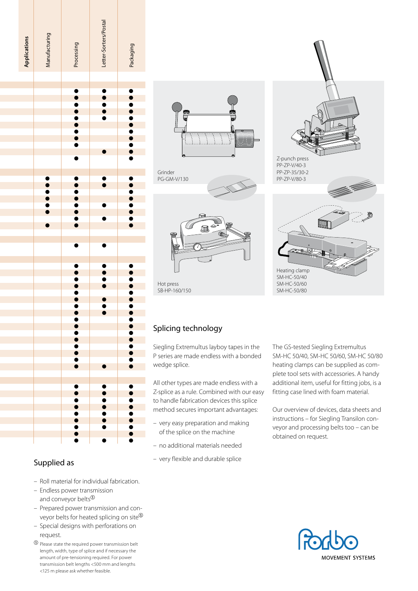

## Supplied as

- Roll material for individual fabrication.
- Endless power transmission and conveyor belts<sup>0</sup>
- Prepared power transmission and conveyor belts for heated splicing on site $\mathcal{D}$
- Special designs with perforations on request.
- $\Phi$  Please state the required power transmission belt length, width, type of splice and if necessary the amount of pre-tensioning required. For power transmission belt lengths <500 mm and lengths <125 m please ask whether feasible.







 Hot press SB-HP-160/150 Z-punch press PP-ZP-V/40-3 PP-ZP-35/30-2 PP-ZP-V/80-3 Heating clamp

SM-HC-50/40 SM-HC-50/60 SM-HC-50/80

# Splicing technology

Siegling Extremultus layboy tapes in the P series are made endless with a bonded wedge splice.

All other types are made endless with a Z-splice as a rule. Combined with our easy to handle fabrication devices this splice method secures important advantages:

- very easy preparation and making of the splice on the machine
- no additional materials needed
- very flexible and durable splice

The GS-tested Siegling Extremultus SM-HC 50/40, SM-HC 50/60, SM-HC 50/80 heating clamps can be supplied as complete tool sets with accessories. A handy additional item, useful for fitting jobs, is a fitting case lined with foam material.

Our overview of devices, data sheets and instructions – for Siegling Transilon conveyor and processing belts too – can be obtained on request.